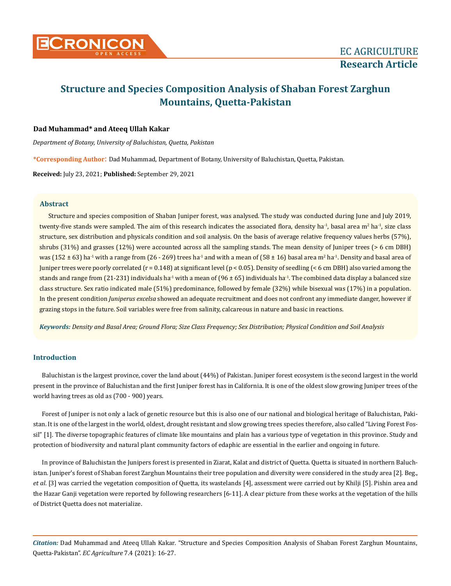

# **Structure and Species Composition Analysis of Shaban Forest Zarghun Mountains, Quetta-Pakistan**

# **Dad Muhammad\* and Ateeq Ullah Kakar**

*Department of Botany, University of Baluchistan, Quetta, Pakistan*

**\*Corresponding Author**: Dad Muhammad, Department of Botany, University of Baluchistan, Quetta, Pakistan.

**Received:** July 23, 2021; **Published:** September 29, 2021

# **Abstract**

Structure and species composition of Shaban Juniper forest, was analysed. The study was conducted during June and July 2019, twenty-five stands were sampled. The aim of this research indicates the associated flora, density ha<sup>-1</sup>, basal area m<sup>2</sup> ha<sup>-1</sup>, size class structure, sex distribution and physicals condition and soil analysis. On the basis of average relative frequency values herbs (57%), shrubs (31%) and grasses (12%) were accounted across all the sampling stands. The mean density of Juniper trees (> 6 cm DBH) was (152 ± 63) ha<sup>-1</sup> with a range from (26 - 269) trees ha<sup>-1</sup> and with a mean of (58 ± 16) basal area m<sup>2</sup> ha<sup>-1</sup>. Density and basal area of Juniper trees were poorly correlated (r = 0.148) at significant level (p < 0.05). Density of seedling (< 6 cm DBH) also varied among the stands and range from (21-231) individuals ha<sup>-1</sup> with a mean of (96  $\pm$  65) individuals ha<sup>-1</sup>. The combined data display a balanced size class structure. Sex ratio indicated male (51%) predominance, followed by female (32%) while bisexual was (17%) in a population. In the present condition *Juniperus excelsa* showed an adequate recruitment and does not confront any immediate danger, however if grazing stops in the future. Soil variables were free from salinity, calcareous in nature and basic in reactions.

*Keywords: Density and Basal Area; Ground Flora; Size Class Frequency; Sex Distribution; Physical Condition and Soil Analysis*

# **Introduction**

Baluchistan is the largest province, cover the land about (44%) of Pakistan. Juniper forest ecosystem is the second largest in the world present in the province of Baluchistan and the first Juniper forest has in California. It is one of the oldest slow growing Juniper trees of the world having trees as old as (700 - 900) years.

Forest of Juniper is not only a lack of genetic resource but this is also one of our national and biological heritage of Baluchistan, Pakistan. It is one of the largest in the world, oldest, drought resistant and slow growing trees species therefore, also called "Living Forest Fossil" [1]. The diverse topographic features of climate like mountains and plain has a various type of vegetation in this province. Study and protection of biodiversity and natural plant community factors of edaphic are essential in the earlier and ongoing in future.

In province of Baluchistan the Junipers forest is presented in Ziarat, Kalat and district of Quetta. Quetta is situated in northern Baluchistan. Juniper's forest of Shaban forest Zarghun Mountains their tree population and diversity were considered in the study area [2]. Beg., *et al*. [3] was carried the vegetation composition of Quetta, its wastelands [4], assessment were carried out by Khilji [5]. Pishin area and the Hazar Ganji vegetation were reported by following researchers [6-11]. A clear picture from these works at the vegetation of the hills of District Quetta does not materialize.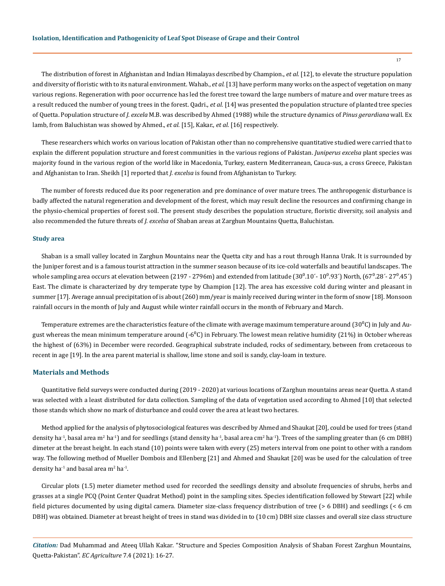The distribution of forest in Afghanistan and Indian Himalayas described by Champion., *et al.* [12], to elevate the structure population and diversity of floristic with to its natural environment. Wahab., *et al.* [13] have perform many works on the aspect of vegetation on many various regions. Regeneration with poor occurrence has led the forest tree toward the large numbers of mature and over mature trees as a result reduced the number of young trees in the forest. Qadri., *et al.* [14] was presented the population structure of planted tree species of Quetta. Population structure of *J. excela* M.B. was described by Ahmed (1988) while the structure dynamics of *Pinus gerardiana* wall. Ex lamb, from Baluchistan was showed by Ahmed., *et al.* [15], Kakar., *et al.* [16] respectively.

These researchers which works on various location of Pakistan other than no comprehensive quantitative studied were carried that to explain the different population structure and forest communities in the various regions of Pakistan. *Juniperus excelsa* plant species was majority found in the various region of the world like in Macedonia, Turkey, eastern Mediterranean, Cauca-sus, a cross Greece, Pakistan and Afghanistan to Iran. Sheikh [1] reported that *J. excelsa* is found from Afghanistan to Turkey.

The number of forests reduced due its poor regeneration and pre dominance of over mature trees. The anthropogenic disturbance is badly affected the natural regeneration and development of the forest, which may result decline the resources and confirming change in the physio-chemical properties of forest soil. The present study describes the population structure, floristic diversity, soil analysis and also recommended the future threats of *J. excelsa* of Shaban areas at Zarghun Mountains Quetta, Baluchistan.

#### **Study area**

Shaban is a small valley located in Zarghun Mountains near the Quetta city and has a rout through Hanna Urak. It is surrounded by the Juniper forest and is a famous tourist attraction in the summer season because of its ice-cold waterfalls and beautiful landscapes. The whole sampling area occurs at elevation between  $(2197 - 2796m)$  and extended from latitude  $(30^0.10^{\circ} - 10^0.93^{\circ})$  North,  $(67^0.28^{\circ} - 27^0.45^{\circ})$ East. The climate is characterized by dry temperate type by Champion [12]. The area has excessive cold during winter and pleasant in summer [17]. Average annual precipitation of is about (260) mm/year is mainly received during winter in the form of snow [18]. Monsoon rainfall occurs in the month of July and August while winter rainfall occurs in the month of February and March.

Temperature extremes are the characteristics feature of the climate with average maximum temperature around (30 $^{\circ}$ C) in July and August whereas the mean minimum temperature around  $(-6^{\circ}C)$  in February. The lowest mean relative humidity (21%) in October whereas the highest of (63%) in December were recorded. Geographical substrate included, rocks of sedimentary, between from cretaceous to recent in age [19]. In the area parent material is shallow, lime stone and soil is sandy, clay-loam in texture.

#### **Materials and Methods**

Quantitative field surveys were conducted during (2019 - 2020) at various locations of Zarghun mountains areas near Quetta. A stand was selected with a least distributed for data collection. Sampling of the data of vegetation used according to Ahmed [10] that selected those stands which show no mark of disturbance and could cover the area at least two hectares.

Method applied for the analysis of phytosociological features was described by Ahmed and Shaukat [20], could be used for trees (stand density ha<sup>-1</sup>, basal area m<sup>2</sup> ha<sup>-1</sup>) and for seedlings (stand density ha<sup>-1</sup>, basal area cm<sup>2</sup> ha<sup>-1</sup>). Trees of the sampling greater than (6 cm DBH) dimeter at the breast height. In each stand (10) points were taken with every (25) meters interval from one point to other with a random way. The following method of Mueller Dombois and Ellenberg [21] and Ahmed and Shaukat [20] was be used for the calculation of tree density ha $^{-1}$  and basal area m<sup>2</sup> ha $^{-1}$ .

Circular plots (1.5) meter diameter method used for recorded the seedlings density and absolute frequencies of shrubs, herbs and grasses at a single PCQ (Point Center Quadrat Method) point in the sampling sites. Species identification followed by Stewart [22] while field pictures documented by using digital camera. Diameter size-class frequency distribution of tree (> 6 DBH) and seedlings (< 6 cm DBH) was obtained. Diameter at breast height of trees in stand was divided in to (10 cm) DBH size classes and overall size class structure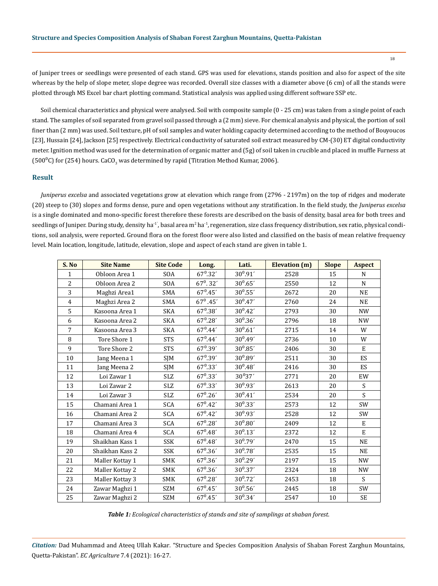of Juniper trees or seedlings were presented of each stand. GPS was used for elevations, stands position and also for aspect of the site whereas by the help of slope meter, slope degree was recorded. Overall size classes with a diameter above (6 cm) of all the stands were plotted through MS Excel bar chart plotting command. Statistical analysis was applied using different software SSP etc.

Soil chemical characteristics and physical were analysed. Soil with composite sample (0 - 25 cm) was taken from a single point of each stand. The samples of soil separated from gravel soil passed through a (2 mm) sieve. For chemical analysis and physical, the portion of soil finer than (2 mm) was used. Soil texture, pH of soil samples and water holding capacity determined according to the method of Bouyoucos [23], Hussain [24], Jackson [25] respectively. Electrical conductivity of saturated soil extract measured by CM-(30) ET digital conductivity meter. Ignition method was used for the determination of organic matter and (5g) of soil taken in crucible and placed in muffle Furness at (500°C) for (254) hours. CaCO<sub>3</sub> was determined by rapid (Titration Method Kumar, 2006).

# **Result**

*Juniperus excelsa* and associated vegetations grow at elevation which range from (2796 - 2197m) on the top of ridges and moderate (20) steep to (30) slopes and forms dense, pure and open vegetations without any stratification. In the field study, the *Juniperus excelsa* is a single dominated and mono-specific forest therefore these forests are described on the basis of density, basal area for both trees and seedlings of Juniper. During study, density ha $^1$ , basal area m $^2$  ha $^1$ , regeneration, size class frequency distribution, sex ratio, physical conditions, soil analysis, were reported. Ground flora on the forest floor were also listed and classified on the basis of mean relative frequency level. Main location, longitude, latitude, elevation, slope and aspect of each stand are given in table 1.

| S. No          | <b>Site Name</b> | <b>Site Code</b> | Long.             | Lati.        | <b>Elevation</b> (m) | <b>Slope</b> | <b>Aspect</b> |
|----------------|------------------|------------------|-------------------|--------------|----------------------|--------------|---------------|
| $\mathbf{1}$   | Obloon Area 1    | SOA              | $67^{\circ}.32'$  | $30^0.91'$   | 2528                 | 15           | N             |
| $\overline{2}$ | Obloon Area 2    | SOA              | $67^0.32'$        | $30^0.65'$   | 2550                 | 12           | N             |
| 3              | Maghzi Area1     | SMA              | $67^0.45'$        | $30^0.55'$   | 2672                 | 20           | <b>NE</b>     |
| $\overline{4}$ | Maghzi Area 2    | SMA              | $67^{\circ}$ .45' | $30^0.47'$   | 2760                 | 24           | <b>NE</b>     |
| 5              | Kasoona Area 1   | SKA              | $67^0.38'$        | $30^0.42'$   | 2793                 | 30           | <b>NW</b>     |
| 6              | Kasoona Area 2   | SKA              | $67^{\rm 0.28'}$  | $30^0.36'$   | 2796                 | 18           | <b>NW</b>     |
| $\overline{7}$ | Kasoona Area 3   | <b>SKA</b>       | $67^0.44'$        | $30^0.61'$   | 2715                 | 14           | W             |
| 8              | Tore Shore 1     | <b>STS</b>       | $67^0.44'$        | $30^0.49'$   | 2736                 | 10           | W             |
| 9              | Tore Shore 2     | <b>STS</b>       | $67^0.39'$        | $30^0.85'$   | 2406                 | 30           | E             |
| 10             | Jang Meena 1     | SJM              | $67^0.39'$        | $30^{0}.89'$ | 2511                 | 30           | <b>ES</b>     |
| 11             | Jang Meena 2     | SJM              | $67^{\circ}.33'$  | $30^{0}.48'$ | 2416                 | 30           | ES            |
| 12             | Loi Zawar 1      | <b>SLZ</b>       | $67^{\circ}.33'$  | $30^{0}37'$  | 2771                 | 20           | EW            |
| 13             | Loi Zawar 2      | SLZ              | $67^{\circ}.33'$  | $30^{0}.93'$ | 2613                 | 20           | S             |
| 14             | Loi Zawar 3      | SLZ              | $67^{\circ}.26'$  | $30^0.41'$   | 2534                 | 20           | $\mathsf{S}$  |
| 15             | Chamani Area 1   | SCA              | $67^0.42'$        | $30^0.33'$   | 2573                 | 12           | SW            |
| 16             | Chamani Area 2   | SCA              | $67^{\circ}.42'$  | $30^0.93'$   | 2528                 | 12           | SW            |
| 17             | Chamani Area 3   | SCA              | $67^{\circ}.28'$  | $30^0.80'$   | 2409                 | 12           | E             |
| 18             | Chamani Area 4   | SCA              | $67^0.48'$        | $30^0.13'$   | 2372                 | 12           | $\mathbf E$   |
| 19             | Shaikhan Kass 1  | SSK              | $67^0.48'$        | $30^0.79'$   | 2470                 | 15           | <b>NE</b>     |
| 20             | Shaikhan Kass 2  | <b>SSK</b>       | $67^{\circ}.36'$  | $30^0.78'$   | 2535                 | 15           | <b>NE</b>     |
| 21             | Maller Kottay 1  | SMK              | $67^{\circ}.36'$  | $30^0.29'$   | 2197                 | 15           | <b>NW</b>     |
| 22             | Maller Kottay 2  | SMK              | $67^{\rm 0.36'}$  | $30^0.37'$   | 2324                 | 18           | <b>NW</b>     |
| 23             | Maller Kottay 3  | SMK              | $67^{\circ}.28'$  | $30^0.72'$   | 2453                 | 18           | S             |
| 24             | Zawar Maghzi 1   | SZM              | $67^{\circ}.45'$  | $30^0.56'$   | 2445                 | 18           | SW            |
| 25             | Zawar Maghzi 2   | SZM              | $67^0.45'$        | $30^0.34'$   | 2547                 | 10           | <b>SE</b>     |

*Table 1: Ecological characteristics of stands and site of samplings at shaban forest.*

*Citation:* Dad Muhammad and Ateeq Ullah Kakar*.* "Structure and Species Composition Analysis of Shaban Forest Zarghun Mountains, Quetta-Pakistan". *EC Agriculture* 7.4 (2021): 16-27.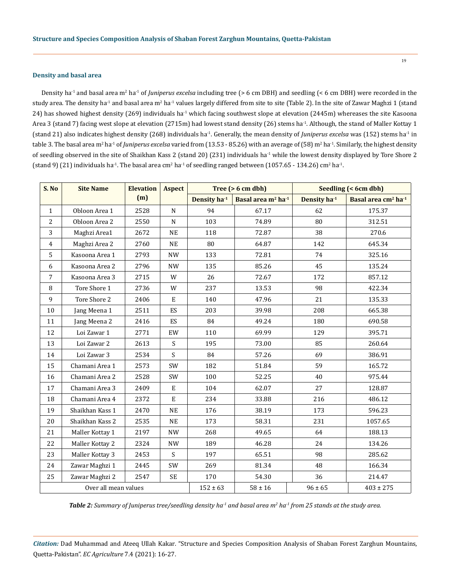#### **Density and basal area**

Density ha<sup>-1</sup> and basal area m<sup>2</sup> ha<sup>-1</sup> of *Juniperus excelsa* including tree (> 6 cm DBH) and seedling (< 6 cm DBH) were recorded in the study area. The density ha<sup>-1</sup> and basal area m<sup>2</sup> ha<sup>-1</sup> values largely differed from site to site (Table 2). In the site of Zawar Maghzi 1 (stand 24) has showed highest density (269) individuals ha<sup>-1</sup> which facing southwest slope at elevation (2445m) whereases the site Kasoona Area 3 (stand 7) facing west slope at elevation (2715m) had lowest stand density (26) stems ha<sup>-1</sup>. Although, the stand of Maller Kottay 1 (stand 21) also indicates highest density (268) individuals ha<sup>-1</sup>. Generally, the mean density of *Juniperus excelsa* was (152) stems ha<sup>-1</sup> in table 3. The basal area m<sup>2</sup> ha<sup>-1</sup> of *Juniperus excelsa* varied from (13.53 - 85.26) with an average of (58) m<sup>2</sup> ha<sup>-1</sup>. Similarly, the highest density of seedling observed in the site of Shaikhan Kass 2 (stand 20) (231) individuals ha<sup>-1</sup> while the lowest density displayed by Tore Shore 2 (stand 9) (21) individuals ha<sup>-1</sup>. The basal area cm<sup>2</sup> ha<sup>-1</sup> of seedling ranged between (1057.65 - 134.26) cm<sup>2</sup> ha<sup>-1</sup>.

| S. No                | <b>Site Name</b> | <b>Elevation</b> | <b>Aspect</b> | Tree $(> 6 cm dbh)$      |                                            | Seedling (< 6cm dbh)     |                                             |  |
|----------------------|------------------|------------------|---------------|--------------------------|--------------------------------------------|--------------------------|---------------------------------------------|--|
|                      |                  | (m)              |               | Density ha <sup>-1</sup> | Basal area m <sup>2</sup> ha <sup>-1</sup> | Density ha <sup>-1</sup> | Basal area cm <sup>2</sup> ha <sup>-1</sup> |  |
| $\mathbf{1}$         | Obloon Area 1    | 2528             | $\mathbf N$   | 94                       | 67.17                                      | 62                       | 175.37                                      |  |
| 2                    | Obloon Area 2    | 2550             | $\mathbf N$   | 103                      | 74.89                                      | 80                       | 312.51                                      |  |
| 3                    | Maghzi Area1     | 2672             | <b>NE</b>     | 118                      | 72.87                                      | 38                       | 270.6                                       |  |
| $\overline{4}$       | Maghzi Area 2    | 2760             | NE            | 80                       | 64.87                                      | 142                      | 645.34                                      |  |
| 5                    | Kasoona Area 1   | 2793             | <b>NW</b>     | 133                      | 72.81                                      | 74                       | 325.16                                      |  |
| 6                    | Kasoona Area 2   | 2796             | <b>NW</b>     | 135                      | 85.26                                      | 45                       | 135.24                                      |  |
| $\overline{7}$       | Kasoona Area 3   | 2715             | W             | 26                       | 72.67                                      | 172                      | 857.12                                      |  |
| 8                    | Tore Shore 1     | 2736             | W             | 237                      | 13.53                                      | 98                       | 422.34                                      |  |
| 9                    | Tore Shore 2     | 2406             | E             | 140                      | 47.96                                      | 21                       | 135.33                                      |  |
| 10                   | Jang Meena 1     | 2511             | ES            | 203                      | 39.98                                      | 208                      | 665.38                                      |  |
| 11                   | Jang Meena 2     | 2416             | ES            | 84                       | 49.24                                      | 180                      | 690.58                                      |  |
| 12                   | Loi Zawar 1      | 2771             | EW            | 110                      | 69.99                                      | 129                      | 395.71                                      |  |
| 13                   | Loi Zawar 2      | 2613             | S             | 195                      | 73.00                                      | 85                       | 260.64                                      |  |
| 14                   | Loi Zawar 3      | 2534             | S             | 84                       | 57.26                                      | 69                       | 386.91                                      |  |
| 15                   | Chamani Area 1   | 2573             | SW            | 182                      | 51.84                                      | 59                       | 165.72                                      |  |
| 16                   | Chamani Area 2   | 2528             | SW            | 100                      | 52.25                                      | 40                       | 975.44                                      |  |
| 17                   | Chamani Area 3   | 2409             | E             | 104                      | 62.07                                      | 27                       | 128.87                                      |  |
| 18                   | Chamani Area 4   | 2372             | $\mathbf E$   | 234                      | 33.88                                      | 216                      | 486.12                                      |  |
| 19                   | Shaikhan Kass 1  | 2470             | NE            | 176                      | 38.19                                      | 173                      | 596.23                                      |  |
| 20                   | Shaikhan Kass 2  | 2535             | <b>NE</b>     | 173                      | 58.31                                      | 231                      | 1057.65                                     |  |
| 21                   | Maller Kottay 1  | 2197             | <b>NW</b>     | 268                      | 49.65                                      | 64                       | 188.13                                      |  |
| 22                   | Maller Kottay 2  | 2324             | <b>NW</b>     | 189                      | 46.28                                      | 24                       | 134.26                                      |  |
| 23                   | Maller Kottay 3  | 2453             | S.            | 197                      | 65.51                                      | 98                       | 285.62                                      |  |
| 24                   | Zawar Maghzi 1   | 2445             | SW            | 269                      | 81.34                                      | 48                       | 166.34                                      |  |
| 25                   | Zawar Maghzi 2   | 2547             | <b>SE</b>     | 170                      | 54.30                                      | 36                       | 214.47                                      |  |
| Over all mean values |                  |                  |               | $152 \pm 63$             | $58 \pm 16$                                | $96 \pm 65$              | $403 \pm 275$                               |  |

Table 2: Summary of Juniperus tree/seedling density ha<sup>-1</sup> and basal area m<sup>2</sup> ha<sup>-1</sup> from 25 stands at the study area.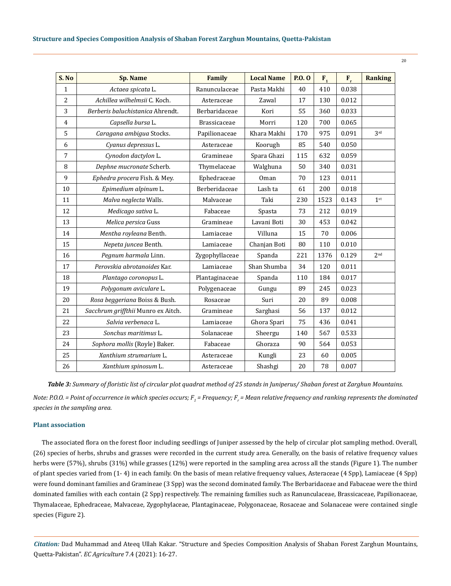| S. No          | <b>Sp. Name</b>                    | Family              | <b>Local Name</b> | P.0.0 | $F_{1}$ | $F_r$ | <b>Ranking</b>  |
|----------------|------------------------------------|---------------------|-------------------|-------|---------|-------|-----------------|
| $\mathbf{1}$   | Actaea spicata L.                  | Ranunculaceae       | Pasta Makhi       | 40    | 410     | 0.038 |                 |
| $\overline{2}$ | Achillea wilhelmsii C. Koch.       | Asteraceae          | Zawal             | 17    | 130     | 0.012 |                 |
| 3              | Berberis baluchistanica Ahrendt.   | Berbaridaceae       | Kori              | 55    | 360     | 0.033 |                 |
| $\overline{4}$ | Capsella bursa L.                  | <b>Brassicaceae</b> | Morri             | 120   | 700     | 0.065 |                 |
| 5              | Caragana ambigua Stocks.           | Papilionaceae       | Khara Makhi       | 170   | 975     | 0.091 | 3 <sup>rd</sup> |
| 6              | Cyanus depressus L.                | Asteraceae          | Koorugh           | 85    | 540     | 0.050 |                 |
| 7              | Cynodon dactylon L.                | Gramineae           | Spara Ghazi       | 115   | 632     | 0.059 |                 |
| 8              | Dephne mucronate Scherb.           | Thymelaceae         | Walghuna          | 50    | 340     | 0.031 |                 |
| 9              | Ephedra procera Fish. & Mey.       | Ephedraceae         | Oman              | 70    | 123     | 0.011 |                 |
| 10             | Epimedium alpinum L.               | Berberidaceae       | Lash ta           | 61    | 200     | 0.018 |                 |
| 11             | Malva neglecta Walls.              | Malvaceae           | Taki              | 230   | 1523    | 0.143 | 1 <sup>st</sup> |
| 12             | Medicago sativa L.                 | Fabaceae            | Spasta            | 73    | 212     | 0.019 |                 |
| 13             | Melica persica Guss                | Gramineae           | Lavani Boti       | 30    | 453     | 0.042 |                 |
| 14             | Mentha royleana Benth.             | Lamiaceae           | Villuna           | 15    | 70      | 0.006 |                 |
| 15             | Nepeta juncea Benth.               | Lamiaceae           | Chanjan Boti      | 80    | 110     | 0.010 |                 |
| 16             | Pegnum harmala Linn.               | Zygophyllaceae      | Spanda            | 221   | 1376    | 0.129 | 2 <sub>nd</sub> |
| 17             | Perovskia abrotanoides Kar.        | Lamiaceae           | Shan Shumba       | 34    | 120     | 0.011 |                 |
| 18             | Plantago coronopus L.              | Plantaginaceae      | Spanda            | 110   | 184     | 0.017 |                 |
| 19             | Polygonum aviculare L.             | Polygenaceae        | Gungu             | 89    | 245     | 0.023 |                 |
| 20             | Rosa beggeriana Boiss & Bush.      | Rosaceae            | Suri              | 20    | 89      | 0.008 |                 |
| 21             | Sacchrum griffthii Munro ex Aitch. | Gramineae           | Sarghasi          | 56    | 137     | 0.012 |                 |
| 22             | Salvia verbenaca L.                | Lamiaceae           | Ghora Spari       | 75    | 436     | 0.041 |                 |
| 23             | Sonchus maritimus L.               | Solanaceae          | Sheergu           | 140   | 567     | 0.533 |                 |
| 24             | Sophora mollis (Royle) Baker.      | Fabaceae            | Ghoraza           | 90    | 564     | 0.053 |                 |
| 25             | Xanthium strumarium L.             | Asteraceae          | Kungli            | 23    | 60      | 0.005 |                 |
| 26             | Xanthium spinosum L.               | Asteraceae          | Shashgi           | 20    | 78      | 0.007 |                 |

*Table 3: Summary of floristic list of circular plot quadrat method of 25 stands in Juniperus/ Shaban forest at Zarghun Mountains.* Note: P.O.O. = Point of occurrence in which species occurs; F<sub>1</sub> = Frequency; F<sub>r</sub> = Mean relative frequency and ranking represents the dominated *species in the sampling area.*

# **Plant association**

The associated flora on the forest floor including seedlings of Juniper assessed by the help of circular plot sampling method. Overall, (26) species of herbs, shrubs and grasses were recorded in the current study area. Generally, on the basis of relative frequency values herbs were (57%), shrubs (31%) while grasses (12%) were reported in the sampling area across all the stands (Figure 1). The number of plant species varied from (1- 4) in each family. On the basis of mean relative frequency values, Asteraceae (4 Spp), Lamiaceae (4 Spp) were found dominant families and Gramineae (3 Spp) was the second dominated family. The Berbaridaceae and Fabaceae were the third dominated families with each contain (2 Spp) respectively. The remaining families such as Ranunculaceae, Brassicaceae, Papilionaceae, Thymalaceae, Ephedraceae, Malvaceae, Zygophylaceae, Plantaginaceae, Polygonaceae, Rosaceae and Solanaceae were contained single species (Figure 2).

*Citation:* Dad Muhammad and Ateeq Ullah Kakar*.* "Structure and Species Composition Analysis of Shaban Forest Zarghun Mountains, Quetta-Pakistan". *EC Agriculture* 7.4 (2021): 16-27.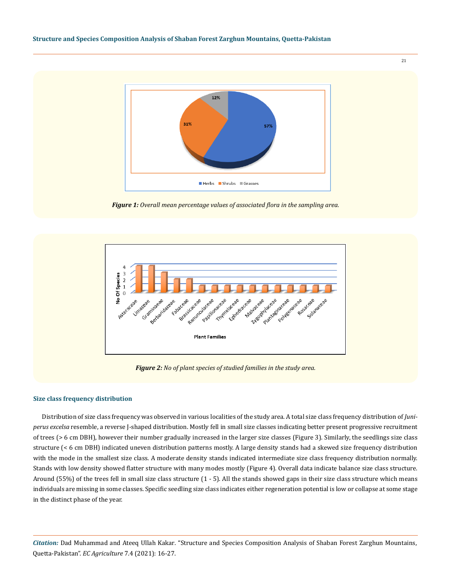

*Figure 1: Overall mean percentage values of associated flora in the sampling area.* 



*Figure 2: No of plant species of studied families in the study area.*

#### **Size class frequency distribution**

Distribution of size class frequency was observed in various localities of the study area. A total size class frequency distribution of *Juniperus excelsa* resemble, a reverse J-shaped distribution. Mostly fell in small size classes indicating better present progressive recruitment of trees (> 6 cm DBH), however their number gradually increased in the larger size classes (Figure 3). Similarly, the seedlings size class structure (< 6 cm DBH) indicated uneven distribution patterns mostly. A large density stands had a skewed size frequency distribution with the mode in the smallest size class. A moderate density stands indicated intermediate size class frequency distribution normally. Stands with low density showed flatter structure with many modes mostly (Figure 4). Overall data indicate balance size class structure. Around (55%) of the trees fell in small size class structure (1 - 5). All the stands showed gaps in their size class structure which means individuals are missing in some classes. Specific seedling size class indicates either regeneration potential is low or collapse at some stage in the distinct phase of the year.

*Citation:* Dad Muhammad and Ateeq Ullah Kakar*.* "Structure and Species Composition Analysis of Shaban Forest Zarghun Mountains, Quetta-Pakistan". *EC Agriculture* 7.4 (2021): 16-27.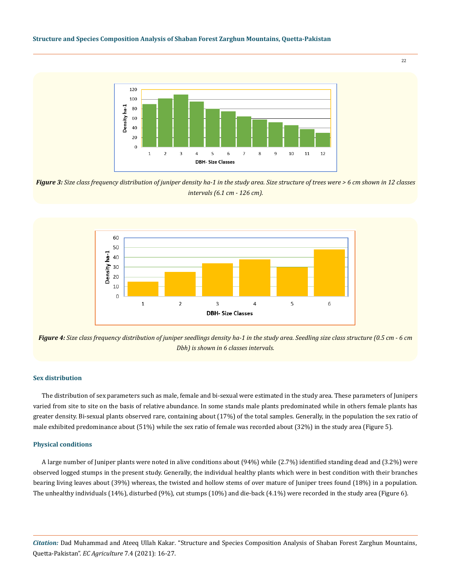#### **Structure and Species Composition Analysis of Shaban Forest Zarghun Mountains, Quetta-Pakistan**



22

*Figure 3: Size class frequency distribution of juniper density ha-1 in the study area. Size structure of trees were > 6 cm shown in 12 classes intervals (6.1 cm - 126 cm).*



*Figure 4: Size class frequency distribution of juniper seedlings density ha-1 in the study area. Seedling size class structure (0.5 cm - 6 cm Dbh) is shown in 6 classes intervals.*

### **Sex distribution**

The distribution of sex parameters such as male, female and bi-sexual were estimated in the study area. These parameters of Junipers varied from site to site on the basis of relative abundance. In some stands male plants predominated while in others female plants has greater density. Bi-sexual plants observed rare, containing about (17%) of the total samples. Generally, in the population the sex ratio of male exhibited predominance about (51%) while the sex ratio of female was recorded about (32%) in the study area (Figure 5).

#### **Physical conditions**

A large number of Juniper plants were noted in alive conditions about (94%) while (2.7%) identified standing dead and (3.2%) were observed logged stumps in the present study. Generally, the individual healthy plants which were in best condition with their branches bearing living leaves about (39%) whereas, the twisted and hollow stems of over mature of Juniper trees found (18%) in a population. The unhealthy individuals (14%), disturbed (9%), cut stumps (10%) and die-back (4.1%) were recorded in the study area (Figure 6).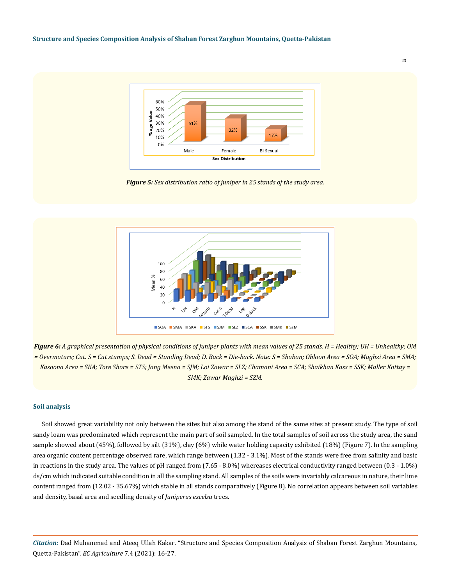

*Figure 5: Sex distribution ratio of juniper in 25 stands of the study area.*



*Figure 6: A graphical presentation of physical conditions of juniper plants with mean values of 25 stands. H = Healthy; UH = Unhealthy; OM = Overmature; Cut. S = Cut stumps; S. Dead = Standing Dead; D. Back = Die-back. Note: S = Shaban; Obloon Area = SOA; Maghzi Area = SMA; Kasoona Area = SKA; Tore Shore = STS; Jang Meena = SJM; Loi Zawar = SLZ; Chamani Area = SCA; Shaikhan Kass = SSK; Maller Kottay = SMK; Zawar Maghzi = SZM.*

# **Soil analysis**

Soil showed great variability not only between the sites but also among the stand of the same sites at present study. The type of soil sandy loam was predominated which represent the main part of soil sampled. In the total samples of soil across the study area, the sand sample showed about (45%), followed by silt (31%), clay (6%) while water holding capacity exhibited (18%) (Figure 7). In the sampling area organic content percentage observed rare, which range between (1.32 - 3.1%). Most of the stands were free from salinity and basic in reactions in the study area. The values of pH ranged from (7.65 - 8.0%) whereases electrical conductivity ranged between (0.3 - 1.0%) ds/cm which indicated suitable condition in all the sampling stand. All samples of the soils were invariably calcareous in nature, their lime content ranged from (12.02 - 35.67%) which stable in all stands comparatively (Figure 8). No correlation appears between soil variables and density, basal area and seedling density of *Juniperus excelsa* trees.

*Citation:* Dad Muhammad and Ateeq Ullah Kakar*.* "Structure and Species Composition Analysis of Shaban Forest Zarghun Mountains, Quetta-Pakistan". *EC Agriculture* 7.4 (2021): 16-27.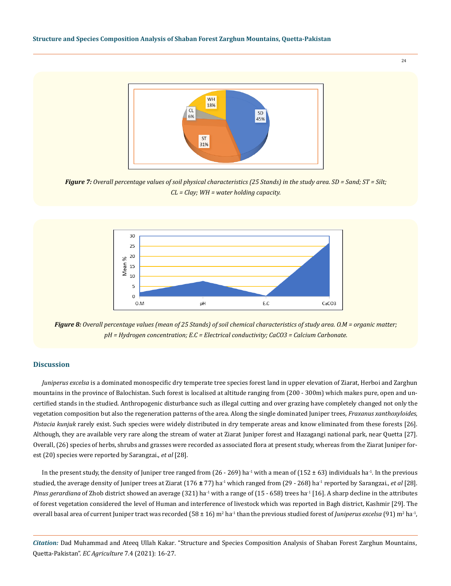

*Figure 7: Overall percentage values of soil physical characteristics (25 Stands) in the study area. SD = Sand; ST = Silt; CL = Clay; WH = water holding capacity.*



*Figure 8: Overall percentage values (mean of 25 Stands) of soil chemical characteristics of study area. O.M = organic matter; pH = Hydrogen concentration; E.C = Electrical conductivity; CaCO3 = Calcium Carbonate.*

#### **Discussion**

*Juniperus excelsa* is a dominated monospecific dry temperate tree species forest land in upper elevation of Ziarat, Herboi and Zarghun mountains in the province of Balochistan. Such forest is localised at altitude ranging from (200 - 300m) which makes pure, open and uncertified stands in the studied. Anthropogenic disturbance such as illegal cutting and over grazing have completely changed not only the vegetation composition but also the regeneration patterns of the area. Along the single dominated Juniper trees*, Fraxanus xanthoxyloides, Pistacia kunjuk* rarely exist. Such species were widely distributed in dry temperate areas and know eliminated from these forests [26]. Although, they are available very rare along the stream of water at Ziarat Juniper forest and Hazagangi national park, near Quetta [27]. Overall, (26) species of herbs, shrubs and grasses were recorded as associated flora at present study, whereas from the Ziarat Juniper forest (20) species were reported by Sarangzai., *et al* [28].

In the present study, the density of Juniper tree ranged from  $(26 - 269)$  ha<sup>-1</sup> with a mean of  $(152 \pm 63)$  individuals ha<sup>-1</sup>. In the previous studied, the average density of Juniper trees at Ziarat (176 **±** 77) ha-1 which ranged from (29 - 268) ha-1 reported by Sarangzai., *et al* [28]. *Pinus gerardiana* of Zhob district showed an average (321) ha<sup>-1</sup> with a range of (15 - 658) trees ha<sup>-1</sup> [16]. A sharp decline in the attributes of forest vegetation considered the level of Human and interference of livestock which was reported in Bagh district, Kashmir [29]. The overall basal area of current Juniper tract was recorded (58 ± 16) m<sup>2</sup> ha<sup>-1</sup> than the previous studied forest of *Juniperus excelsa* (91) m<sup>2</sup> ha<sup>-1</sup>,

*Citation:* Dad Muhammad and Ateeq Ullah Kakar*.* "Structure and Species Composition Analysis of Shaban Forest Zarghun Mountains, Quetta-Pakistan". *EC Agriculture* 7.4 (2021): 16-27.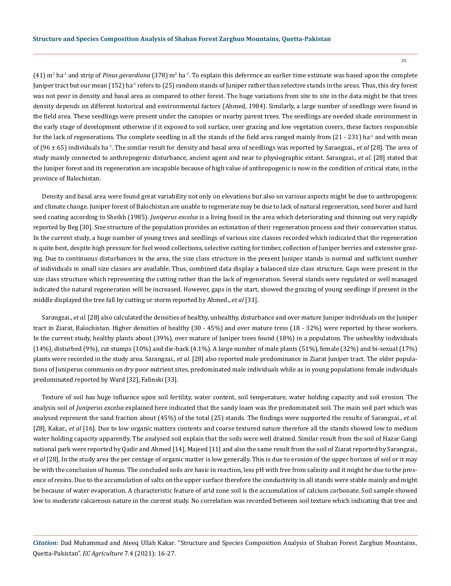$(41)$  m<sup>2</sup> ha<sup>-1</sup> and strip of *Pinus gerardiana* (378) m<sup>2</sup> ha<sup>-1</sup>. To explain this deference an earlier time estimate was based upon the complete Juniper tract but our mean (152) ha<sup>-1</sup> refers to (25) random stands of Juniper rather than selective stands in the areas. Thus, this dry forest was not poor in density and basal area as compared to other forest. The huge variations from site to site in the data might be that trees density depends on different historical and environmental factors (Ahmed, 1984). Similarly, a large number of seedlings were found in the field area. These seedlings were present under the canopies or nearby parent trees. The seedlings are needed shade environment in the early stage of development otherwise if it exposed to soil surface, over grazing and low vegetation covers, these factors responsible for the lack of regenerations. The complete seedling in all the stands of the field area ranged mainly from  $(21 - 231)$  ha<sup>-1</sup> and with mean of (96 ± 65) individuals ha-1. The similar result for density and basal area of seedlings was reported by Sarangzai., *et al* [28]. The area of study mainly connected to anthropogenic disturbance, ancient agent and near to physiographic extant. Sarangzai., *et al*. [28] stated that the Juniper forest and its regeneration are incapable because of high value of anthropogenic is now in the condition of critical state, in the province of Balochistan.

Density and basal area were found great variability not only on elevations but also on various aspects might be due to anthropogenic and climate change. Juniper forest of Balochistan are unable to regenerate may be due to lack of natural regeneration, seed borer and hard seed coating according to Sheikh (1985). *Juniperus excelsa* is a living fossil in the area which deteriorating and thinning out very rapidly reported by Beg [30]. Size structure of the population provides an estimation of their regeneration process and their conservation status. In the current study, a huge number of young trees and seedlings of various size classes recorded which indicated that the regeneration is quite best, despite high pressure for fuel wood collections, selective cutting for timber, collection of Juniper berries and extensive grazing. Due to continuous disturbances in the area, the size class structure in the present Juniper stands is normal and sufficient number of individuals in small size classes are available. Thus, combined data display a balanced size class structure. Gaps were present in the size class structure which representing the cutting rather than the lack of regeneration. Several stands were regulated or well managed indicated the natural regeneration will be increased. However, gaps in the start, showed the grazing of young seedlings if present in the middle displayed the tree fall by cutting or storm reported by Ahmed., *et al* [31].

Sarangzai., *et al.* [28] also calculated the densities of healthy, unhealthy, disturbance and over mature Juniper individuals on the Juniper tract in Ziarat, Balochistan. Higher densities of healthy (30 - 45%) and over mature tress (18 - 32%) were reported by these workers. In the current study, healthy plants about (39%), over mature of Juniper trees found (18%) in a population. The unhealthy individuals (14%), disturbed (9%), cut stumps (10%) and die-back (4.1%). A large number of male plants (51%), female (32%) and bi-sexual (17%) plants were recorded in the study area. Sarangzai., *et al.* [28] also reported male predominance in Ziarat Juniper tract. The older populations of Juniperus communis on dry poor nutrient sites, predominated male individuals while as in young populations female individuals predominated reported by Ward [32], Falinski [33].

Texture of soil has huge influence upon soil fertility, water content, soil temperature, water holding capacity and soil erosion. The analysis soil of *Juniperus excelsa* explained here indicated that the sandy loam was the predominated soil. The main soil part which was analysed represent the sand fraction about (45%) of the total (25) stands. The findings were supported the results of Sarangzai., *et al.* [28], Kakar., *et al* [16]. Due to low organic matters contents and coarse textured nature therefore all the stands showed low to medium water holding capacity apparently. The analysed soil explain that the soils were well drained. Similar result from the soil of Hazar Gangi national park were reported by Qadir and Ahmed [14], Majeed [11] and also the same result from the soil of Ziarat reported by Sarangzai., *et al* [28]. In the study area the per centage of organic matter is low generally. This is due to erosion of the upper horizon of soil or it may be with the conclusion of humus. The concluded soils are basic in reaction, less pH with free from salinity and it might be due to the presence of resins. Due to the accumulation of salts on the upper surface therefore the conductivity in all stands were stable mainly and might be because of water evaporation. A characteristic feature of arid zone soil is the accumulation of calcium carbonate. Soil sample showed low to moderate calcareous nature in the current study. No correlation was recorded between soil texture which indicating that tree and

*Citation:* Dad Muhammad and Ateeq Ullah Kakar*.* "Structure and Species Composition Analysis of Shaban Forest Zarghun Mountains, Quetta-Pakistan". *EC Agriculture* 7.4 (2021): 16-27.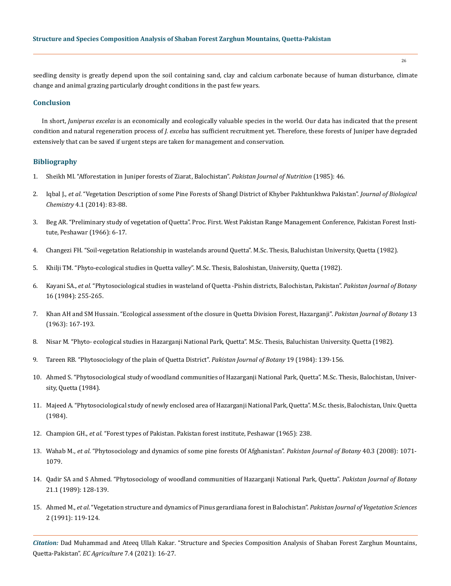seedling density is greatly depend upon the soil containing sand, clay and calcium carbonate because of human disturbance, climate change and animal grazing particularly drought conditions in the past few years.

# **Conclusion**

In short, *Juniperus excelas* is an economically and ecologically valuable species in the world. Our data has indicated that the present condition and natural regeneration process of *J. excelsa* has sufficient recruitment yet. Therefore, these forests of Juniper have degraded extensively that can be saved if urgent steps are taken for management and conservation.

# **Bibliography**

- 1. Sheikh MI. "Afforestation in Juniper forests of Ziarat, Balochistan". *Pakistan Journal of Nutrition* (1985): 46.
- 2. Iqbal J., *et al*[. "Vegetation Description of some Pine Forests of Shangl District of Khyber Pakhtunkhwa Pakistan".](https://www.researchgate.net/publication/270821511_VEGETATION_DESCRIPTION_OF_SOME_PINE_FORESTS_OF_SHANGLA_DISTRICT_OF_KHYBER_PAKHTUNKHWA_PAKISTAN_A_PRELIMINARY_STUDY) *Journal of Biological Chemistry* [4.1 \(2014\): 83-88.](https://www.researchgate.net/publication/270821511_VEGETATION_DESCRIPTION_OF_SOME_PINE_FORESTS_OF_SHANGLA_DISTRICT_OF_KHYBER_PAKHTUNKHWA_PAKISTAN_A_PRELIMINARY_STUDY)
- 3. Beg AR. "Preliminary study of vegetation of Quetta". Proc. First. West Pakistan Range Management Conference, Pakistan Forest Institute, Peshawar (1966): 6-17.
- 4. Changezi FH. "Soil-vegetation Relationship in wastelands around Quetta". M.Sc. Thesis, Baluchistan University, Quetta (1982).
- 5. Khilji TM. "Phyto-ecological studies in Quetta valley". M.Sc. Thesis, Baloshistan, University, Quetta (1982).
- 6. Kayani SA., *et al*. "Phytosociological studies in wasteland of Quetta -Pishin districts, Balochistan, Pakistan". *Pakistan Journal of Botany* 16 (1984): 255-265.
- 7. Khan AH and SM Hussain. "Ecological assessment of the closure in Quetta Division Forest, Hazarganji". *Pakistan Journal of Botany* 13 (1963): 167-193.
- 8. Nisar M. "Phyto- ecological studies in Hazarganji National Park, Quetta". M.Sc. Thesis, Baluchistan University. Quetta (1982).
- 9. [Tareen RB. "Phytosociology of the plain of Quetta District".](https://www.cabi.org/ISC/abstract/19880712179) *Pakistan Journal of Botany* 19 (1984): 139-156.
- 10. Ahmed S. "Phytosociological study of woodland communities of Hazarganji National Park, Quetta". M.Sc. Thesis, Balochistan, University, Quetta (1984).
- 11. Majeed A. "Phytosociological study of newly enclosed area of Hazarganji National Park, Quetta". M.Sc. thesis, Balochistan, Univ. Quetta (1984).
- 12. Champion GH., *et al*[. "Forest types of Pakistan. Pakistan forest institute, Peshawar \(1965\): 238.](https://www.pfi.gov.pk/)
- 13. Wahab M., *et al*[. "Phytosociology and dynamics of some pine forests Of Afghanistan".](https://www.researchgate.net/publication/290042059_PHYTOSOCIOLOGY_AND_DYNAMICS_OF_SOME_PINE_FORESTS_OF_AFGHANISTAN) *Pakistan Journal of Botany* 40.3 (2008): 1071- [1079.](https://www.researchgate.net/publication/290042059_PHYTOSOCIOLOGY_AND_DYNAMICS_OF_SOME_PINE_FORESTS_OF_AFGHANISTAN)
- 14. Qadir SA and S Ahmed. "Phytosociology of woodland communities of Hazarganji National Park, Quetta". *Pakistan Journal of Botany* 21.1 (1989): 128-139.
- 15. Ahmed M., *et al*[. "Vegetation structure and dynamics of Pinus gerardiana forest in Balochistan".](https://www.researchgate.net/publication/230182252_Vegetation_structure_and_dynamics_of_Pinus_gerardiana_forests_in_Balouchistan_Pakistan) *Pakistan Journal of Vegetation Sciences* [2 \(1991\): 119-124.](https://www.researchgate.net/publication/230182252_Vegetation_structure_and_dynamics_of_Pinus_gerardiana_forests_in_Balouchistan_Pakistan)

*Citation:* Dad Muhammad and Ateeq Ullah Kakar*.* "Structure and Species Composition Analysis of Shaban Forest Zarghun Mountains, Quetta-Pakistan". *EC Agriculture* 7.4 (2021): 16-27.